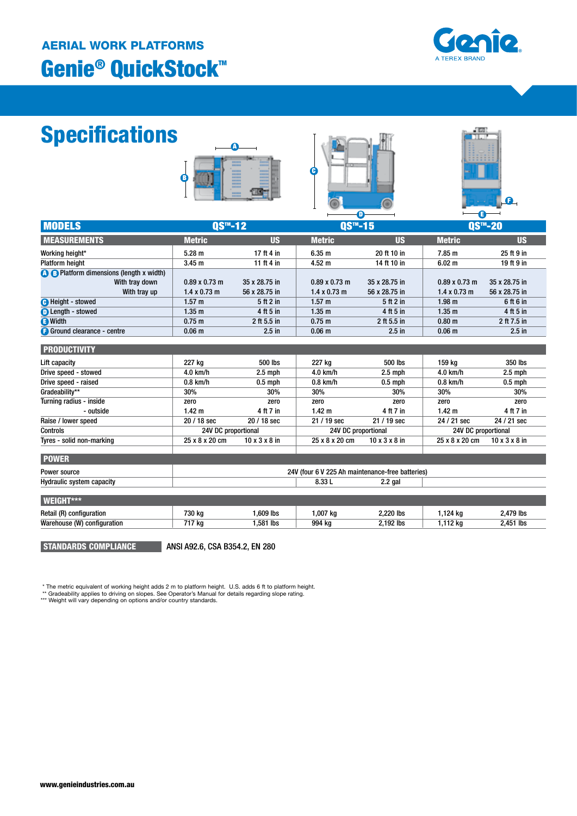# Genie® QuickStock™ AERIAL WORK PLATFORMS



# Specifications







|                                                 |                      |                           |                       |                           | E)                                          |                           |
|-------------------------------------------------|----------------------|---------------------------|-----------------------|---------------------------|---------------------------------------------|---------------------------|
| <b>MODELS</b>                                   | QS™-12               |                           | $0S$ <sup>™</sup> -15 |                           | $\overline{\text{QS}^{\text{m}}}\text{-20}$ |                           |
| <b>MEASUREMENTS</b>                             | <b>Metric</b>        | <b>US</b>                 | <b>Metric</b>         | <b>US</b>                 | <b>Metric</b>                               | <b>US</b>                 |
| Working height*                                 | $5.28 \text{ m}$     | 17 ft 4 in                | 6.35 m                | 20 ft 10 in               | 7.85 m                                      | 25 ft 9 in                |
| <b>Platform height</b>                          | 3.45 <sub>m</sub>    | 11 ft 4 in                | $4.52 \text{ m}$      | 14 ft 10 in               | 6.02 <sub>m</sub>                           | 19 ft 9 in                |
| <b>A B</b> Platform dimensions (length x width) |                      |                           |                       |                           |                                             |                           |
| With tray down                                  | $0.89 \times 0.73$ m | 35 x 28.75 in             | $0.89 \times 0.73$ m  | 35 x 28.75 in             | $0.89 \times 0.73$ m                        | 35 x 28.75 in             |
| With tray up                                    | $1.4 \times 0.73$ m  | 56 x 28.75 in             | $1.4 \times 0.73$ m   | 56 x 28.75 in             | $1.4 \times 0.73$ m                         | 56 x 28.75 in             |
| <b>O</b> Height - stowed                        | 1.57 m               | 5 ft 2 in                 | 1.57 m                | 5 ft 2 in                 | 1.98 <sub>m</sub>                           | 6 ft 6 in                 |
| <b>D</b> Length - stowed                        | 1.35 <sub>m</sub>    | 4 ft 5 in                 | 1.35 <sub>m</sub>     | 4 ft 5 in                 | 1.35 m                                      | 4 ft 5 in                 |
| <b>B</b> Width                                  | 0.75 m               | 2 ft 5.5 in               | $0.75 \text{ m}$      | 2 ft 5.5 in               | 0.80 <sub>m</sub>                           | 2 ft 7.5 in               |
| <b>B</b> Ground clearance - centre              | 0.06 <sub>m</sub>    | $2.5$ in                  | 0.06 <sub>m</sub>     | $2.5$ in                  | 0.06 <sub>m</sub>                           | $2.5$ in                  |
|                                                 |                      |                           |                       |                           |                                             |                           |
| <b>PRODUCTIVITY</b>                             |                      |                           |                       |                           |                                             |                           |
| Lift capacity                                   | 227 kg               | 500 lbs                   | 227 kg                | 500 lbs                   | 159 kg                                      | 350 lbs                   |
| Drive speed - stowed                            | 4.0 km/h             | $2.5$ mph                 | 4.0 km/h              | $2.5$ mph                 | 4.0 km/h                                    | $2.5$ mph                 |
| Drive speed - raised                            | $0.8$ km/h           | $0.5$ mph                 | $0.8$ km/h            | $0.5$ mph                 | $0.8$ km/h                                  | $0.5$ mph                 |
| Gradeability**                                  | 30%                  | 30%                       | 30%                   | 30%                       | 30%                                         | 30%                       |
| Turning radius - inside                         | zero                 | zero                      | zero                  | zero                      | zero                                        | zero                      |
| - outside                                       | 1.42 <sub>m</sub>    | 4 ft 7 in                 | 1.42 <sub>m</sub>     | 4 ft 7 in                 | 1.42 <sub>m</sub>                           | 4 ft 7 in                 |
| Raise / lower speed                             | 20 / 18 sec          | 20 / 18 sec               | 21 / 19 sec           | 21 / 19 sec               | 24 / 21 sec                                 | 24 / 21 sec               |
| <b>Controls</b>                                 | 24V DC proportional  |                           | 24V DC proportional   |                           | 24V DC proportional                         |                           |
| Tyres - solid non-marking                       | 25 x 8 x 20 cm       | $10 \times 3 \times 8$ in | 25 x 8 x 20 cm        | $10 \times 3 \times 8$ in | 25 x 8 x 20 cm                              | $10 \times 3 \times 8$ in |

| <b>POWER</b>                     |                                                  |        |           |  |
|----------------------------------|--------------------------------------------------|--------|-----------|--|
| Power source                     | 24V (four 6 V 225 Ah maintenance-free batteries) |        |           |  |
| <b>Hydraulic system capacity</b> |                                                  | 8.33 L | $2.2$ gal |  |
|                                  |                                                  |        |           |  |
| WEIGHT***.                       |                                                  |        |           |  |

Retail (R) configuration **1.509 kg** 1,609 lbs 1,007 kg 2,220 lbs 1,124 kg 2,479 lbs Warehouse (W) configuration **717 kg** 1,581 lbs 994 kg 2,192 lbs 1,112 kg 2,451 lbs

STANDARDS COMPLIANCE

ANSI A92.6, CSA B354.2, EN 280

\* The metric equivalent of working height adds 2 m to platform height. U.S. adds 6 ft to platform height.<br>\*\* Gradeability applies to driving on slopes. See Operator's Manual for details regarding slope rating.<br>\*\*\* Weight w